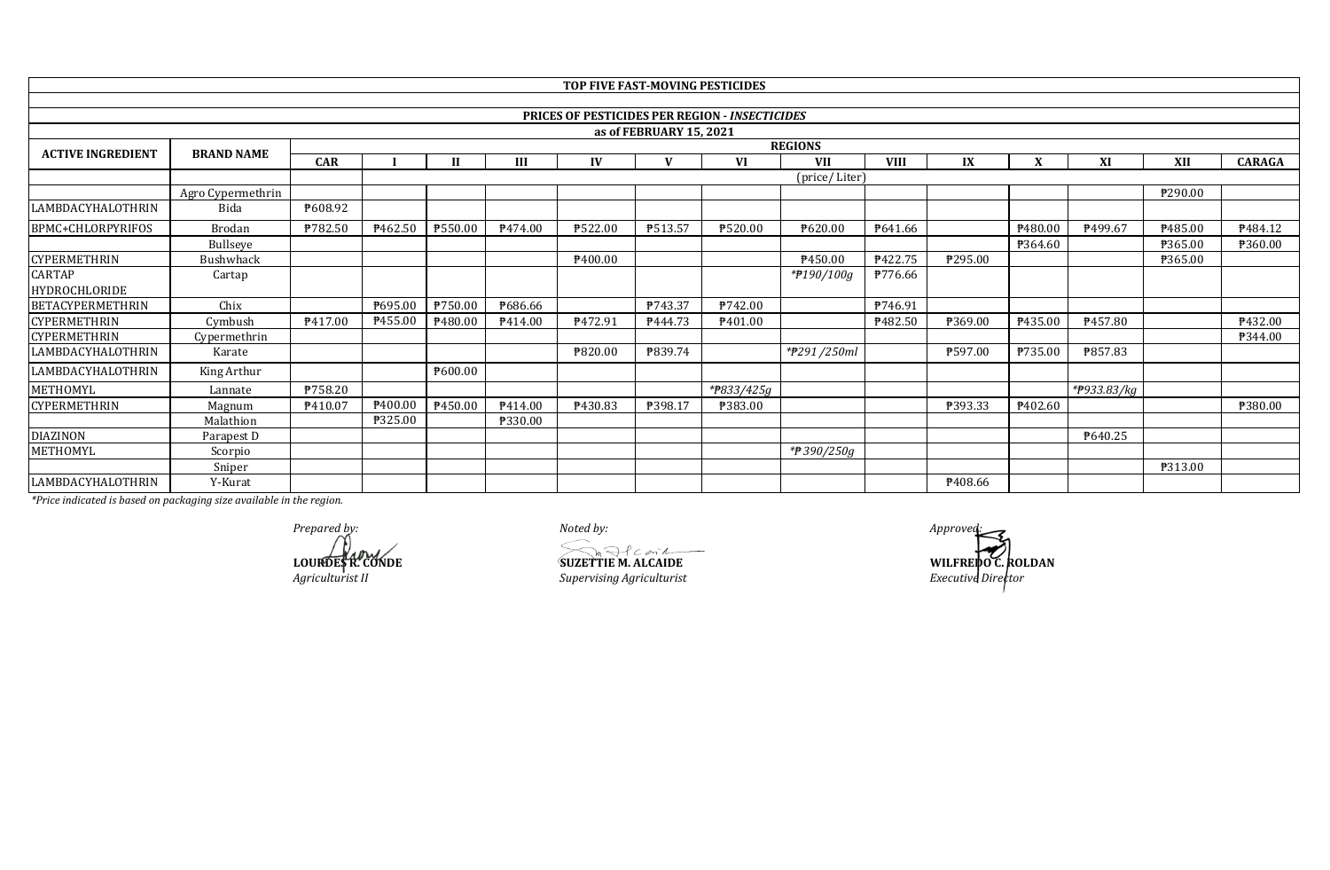|                          |                   |                |         |                |                | <b>TOP FIVE FAST-MOVING PESTICIDES</b> |                         |                                                       |               |                |                     |         |                          |         |                |
|--------------------------|-------------------|----------------|---------|----------------|----------------|----------------------------------------|-------------------------|-------------------------------------------------------|---------------|----------------|---------------------|---------|--------------------------|---------|----------------|
|                          |                   |                |         |                |                |                                        |                         |                                                       |               |                |                     |         |                          |         |                |
|                          |                   |                |         |                |                |                                        |                         | <b>PRICES OF PESTICIDES PER REGION - INSECTICIDES</b> |               |                |                     |         |                          |         |                |
|                          |                   |                |         |                |                |                                        | as of FEBRUARY 15, 2021 |                                                       |               |                |                     |         |                          |         |                |
| <b>ACTIVE INGREDIENT</b> | <b>BRAND NAME</b> |                |         | <b>REGIONS</b> |                |                                        |                         |                                                       |               |                |                     |         |                          |         |                |
|                          |                   | <b>CAR</b>     |         |                | Ш              | IV                                     |                         | VI                                                    | <b>VII</b>    | <b>VIII</b>    | IX                  |         | XI                       | XII     | <b>CARAGA</b>  |
|                          |                   |                |         |                |                |                                        |                         |                                                       | (price/Liter) |                |                     |         |                          |         |                |
|                          | Agro Cypermethrin |                |         |                |                |                                        |                         |                                                       |               |                |                     |         |                          | ₱290.00 |                |
| LAMBDACYHALOTHRIN        | Bida              | P608.92        |         |                |                |                                        |                         |                                                       |               |                |                     |         |                          |         |                |
| <b>BPMC+CHLORPYRIFOS</b> | Brodan            | ₱782.50        | P462.50 | ₱550.00        | P474.00        | ₱522.00                                | P513.57                 | ₱520.00                                               | P620.00       | P641.66        |                     | P480.00 | P499.67                  | P485.00 | P484.12        |
|                          | Bullseye          |                |         |                |                |                                        |                         |                                                       |               |                |                     | P364.60 |                          | ₱365.00 | <b>P360.00</b> |
| <b>CYPERMETHRIN</b>      | <b>Bushwhack</b>  |                |         |                |                | P <sub>400.00</sub>                    |                         |                                                       | P450.00       | <b>₱422.75</b> | P295.00             |         |                          | ₱365.00 |                |
| <b>CARTAP</b>            | Cartap            |                |         |                |                |                                        |                         |                                                       | *#190/100g    | ₱776.66        |                     |         |                          |         |                |
| HYDROCHLORIDE            |                   |                |         |                |                |                                        |                         |                                                       |               |                |                     |         |                          |         |                |
| <b>BETACYPERMETHRIN</b>  | Chix              |                | ₱695.00 | P750.00        | <b>P686.66</b> |                                        | P743.37                 | P742.00                                               |               | P746.91        |                     |         |                          |         |                |
| <b>CYPERMETHRIN</b>      | Cymbush           | P417.00        | P455.00 | ₱480.00        | P414.00        | P472.91                                | P444.73                 | P401.00                                               |               | <b>₱482.50</b> | ₱369.00             | P435.00 | P457.80                  |         | P432.00        |
| <b>CYPERMETHRIN</b>      | Cypermethrin      |                |         |                |                |                                        |                         |                                                       |               |                |                     |         |                          |         | <b>P344.00</b> |
| LAMBDACYHALOTHRIN        | Karate            |                |         |                |                | ₱820.00                                | ₱839.74                 |                                                       | *#291/250ml   |                | ₱597.00             | P735.00 | ₱857.83                  |         |                |
| LAMBDACYHALOTHRIN        | King Arthur       |                |         | P600.00        |                |                                        |                         |                                                       |               |                |                     |         |                          |         |                |
| METHOMYL                 | Lannate           | <b>P758.20</b> |         |                |                |                                        |                         | *P833/425g                                            |               |                |                     |         | * <del>P</del> 933.83/kg |         |                |
| <b>CYPERMETHRIN</b>      | Magnum            | P410.07        | P400.00 | P450.00        | P414.00        | P430.83                                | ₱398.17                 | ₱383.00                                               |               |                | ₱393.33             | P402.60 |                          |         | <b>P380.00</b> |
|                          | Malathion         |                | ₱325.00 |                | ₱330.00        |                                        |                         |                                                       |               |                |                     |         |                          |         |                |
| <b>DIAZINON</b>          | Parapest D        |                |         |                |                |                                        |                         |                                                       |               |                |                     |         | ₱640.25                  |         |                |
| METHOMYL                 | Scorpio           |                |         |                |                |                                        |                         |                                                       | *₱ 390/250g   |                |                     |         |                          |         |                |
|                          | Sniper            |                |         |                |                |                                        |                         |                                                       |               |                |                     |         |                          | ₱313.00 |                |
| LAMBDACYHALOTHRIN        | Y-Kurat           |                |         |                |                |                                        |                         |                                                       |               |                | P <sub>408.66</sub> |         |                          |         |                |

*Prepared by: Noted by: Approved:*

 $Superving$  *Agriculturist* 

**LOURDES R. CONDE**<br> **LOURDES R. CONDE**<br> *SUZETTIE M. ALCAIDE*<br> *Supervising Agriculturist*<br> *Supervising Agriculturist*<br> *Executive Director*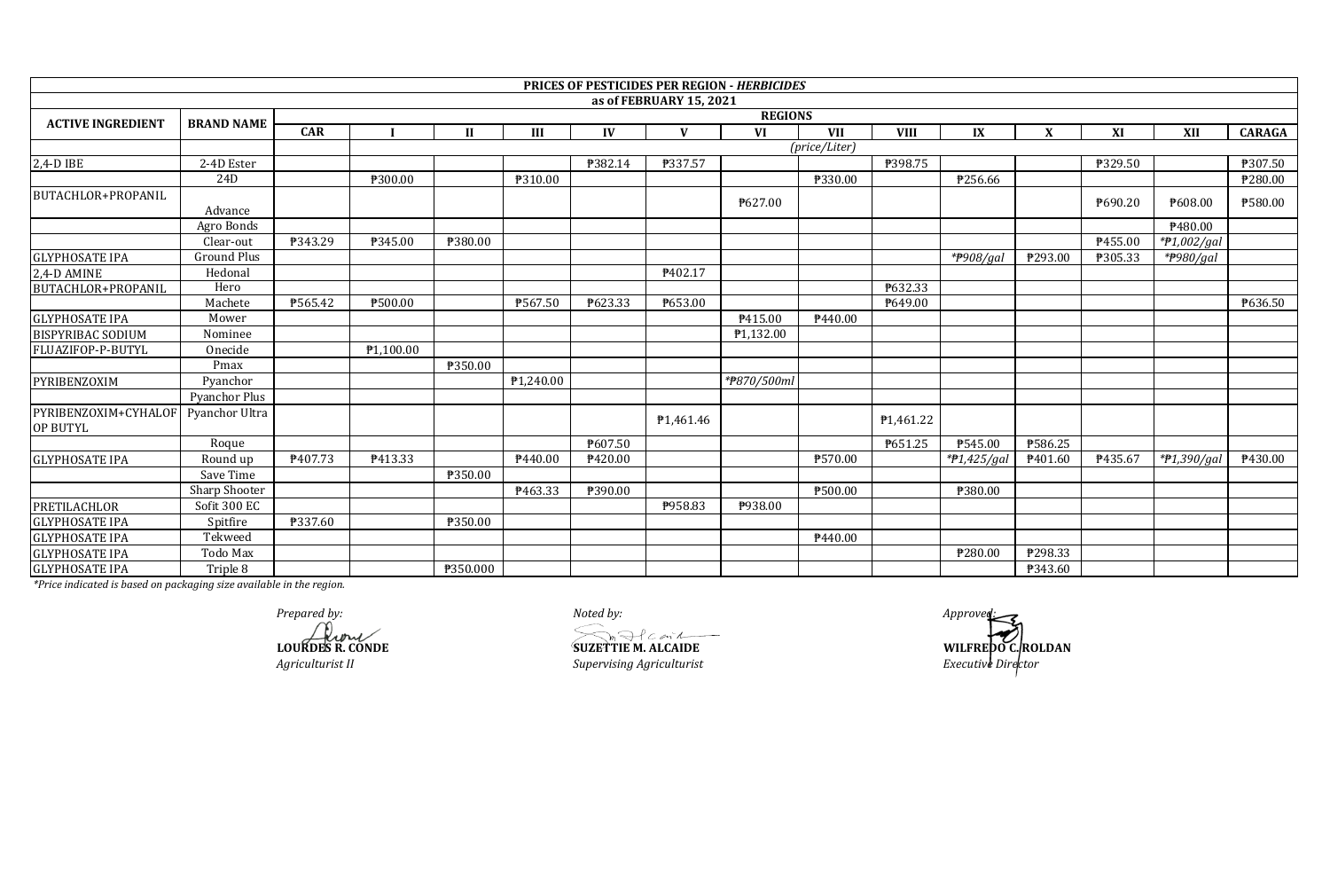|                                  |                    |            |           |              |                       |                     |                         | PRICES OF PESTICIDES PER REGION - HERBICIDES |               |                        |               |                |         |                               |                     |
|----------------------------------|--------------------|------------|-----------|--------------|-----------------------|---------------------|-------------------------|----------------------------------------------|---------------|------------------------|---------------|----------------|---------|-------------------------------|---------------------|
|                                  |                    |            |           |              |                       |                     | as of FEBRUARY 15, 2021 |                                              |               |                        |               |                |         |                               |                     |
| <b>ACTIVE INGREDIENT</b>         | <b>BRAND NAME</b>  |            |           |              |                       |                     |                         | <b>REGIONS</b>                               |               |                        |               |                |         |                               |                     |
|                                  |                    | <b>CAR</b> |           | $\mathbf{H}$ | Ш                     | IV                  | $\mathbf{V}$            | VI                                           | <b>VII</b>    | <b>VIII</b>            | IX            | X              | XI      | <b>XII</b>                    | <b>CARAGA</b>       |
|                                  |                    |            |           |              |                       |                     |                         |                                              | (price/Liter) |                        |               |                |         |                               |                     |
| $2,4-D$ IBE                      | 2-4D Ester         |            |           |              |                       | ₱382.14             | ₱337.57                 |                                              |               | ₱398.75                |               |                | ₱329.50 |                               | ₱307.50             |
|                                  | 24D                |            | ₱300.00   |              | ₱310.00               |                     |                         |                                              | ₱330.00       |                        | ₱256.66       |                |         |                               | ₱280.00             |
| <b>BUTACHLOR+PROPANIL</b>        | Advance            |            |           |              |                       |                     |                         | ₱627.00                                      |               |                        |               |                | ₱690.20 | ₱608.00                       | ₱580.00             |
|                                  | Agro Bonds         |            |           |              |                       |                     |                         |                                              |               |                        |               |                |         | P480.00                       |                     |
|                                  | Clear-out          | ₱343.29    | ₱345.00   | ₱380.00      |                       |                     |                         |                                              |               |                        |               |                | P455.00 | *#1,002/gal                   |                     |
| <b>GLYPHOSATE IPA</b>            | <b>Ground Plus</b> |            |           |              |                       |                     |                         |                                              |               |                        | *#908/gal     | ₱293.00        | ₱305.33 | *#980/gal                     |                     |
| 2,4-D AMINE                      | Hedonal            |            |           |              |                       |                     | P402.17                 |                                              |               |                        |               |                |         |                               |                     |
| <b>BUTACHLOR+PROPANIL</b>        | Hero               |            |           |              |                       |                     |                         |                                              |               | P632.33                |               |                |         |                               |                     |
|                                  | Machete            | ₱565.42    | ₱500.00   |              | ₱567.50               | ₱623.33             | ₱653.00                 |                                              |               | P649.00                |               |                |         |                               | ₱636.50             |
| <b>GLYPHOSATE IPA</b>            | Mower              |            |           |              |                       |                     |                         | P415.00                                      | P440.00       |                        |               |                |         |                               |                     |
| <b>BISPYRIBAC SODIUM</b>         | Nominee            |            |           |              |                       |                     |                         | ₱1,132.00                                    |               |                        |               |                |         |                               |                     |
| FLUAZIFOP-P-BUTYL                | Onecide            |            | P1,100.00 |              |                       |                     |                         |                                              |               |                        |               |                |         |                               |                     |
|                                  | Pmax               |            |           | ₱350.00      |                       |                     |                         |                                              |               |                        |               |                |         |                               |                     |
| PYRIBENZOXIM                     | Pyanchor           |            |           |              | P <sub>1.240.00</sub> |                     |                         | *#870/500ml                                  |               |                        |               |                |         |                               |                     |
|                                  | Pyanchor Plus      |            |           |              |                       |                     |                         |                                              |               |                        |               |                |         |                               |                     |
| PYRIBENZOXIM+CYHALOF<br>OP BUTYL | Pyanchor Ultra     |            |           |              |                       |                     | P <sub>1</sub> ,461.46  |                                              |               | P <sub>1</sub> ,461.22 |               |                |         |                               |                     |
|                                  | Roque              |            |           |              |                       | ₱607.50             |                         |                                              |               | P651.25                | ₱545.00       | ₱586.25        |         |                               |                     |
| <b>GLYPHOSATE IPA</b>            | Round up           | P407.73    | P413.33   |              | P440.00               | P <sub>420.00</sub> |                         |                                              | ₱570.00       |                        | $*P1,425/gal$ | P401.60        | P435.67 | $\sqrt{\frac{4}{7}}1,390/gal$ | P <sub>430.00</sub> |
|                                  | Save Time          |            |           | ₱350.00      |                       |                     |                         |                                              |               |                        |               |                |         |                               |                     |
|                                  | Sharp Shooter      |            |           |              | P463.33               | ₱390.00             |                         |                                              | ₱500.00       |                        | ₱380.00       |                |         |                               |                     |
| <b>PRETILACHLOR</b>              | Sofit 300 EC       |            |           |              |                       |                     | P958.83                 | P938.00                                      |               |                        |               |                |         |                               |                     |
| <b>GLYPHOSATE IPA</b>            | Spitfire           | ₱337.60    |           | ₱350.00      |                       |                     |                         |                                              |               |                        |               |                |         |                               |                     |
| <b>GLYPHOSATE IPA</b>            | Tekweed            |            |           |              |                       |                     |                         |                                              | P440.00       |                        |               |                |         |                               |                     |
| <b>GLYPHOSATE IPA</b>            | Todo Max           |            |           |              |                       |                     |                         |                                              |               |                        | ₱280.00       | P298.33        |         |                               |                     |
| <b>GLYPHOSATE IPA</b>            | Triple 8           |            |           | ₱350.000     |                       |                     |                         |                                              |               |                        |               | <b>\343.60</b> |         |                               |                     |

*Prepared by: Noted by: Approved:*

**LOURDES R. CONDE SUZETTIE M. ALCAIDE WILFREDO C. ROLDAN**

*Agriculturist II Supervising Agriculturist Executive Director*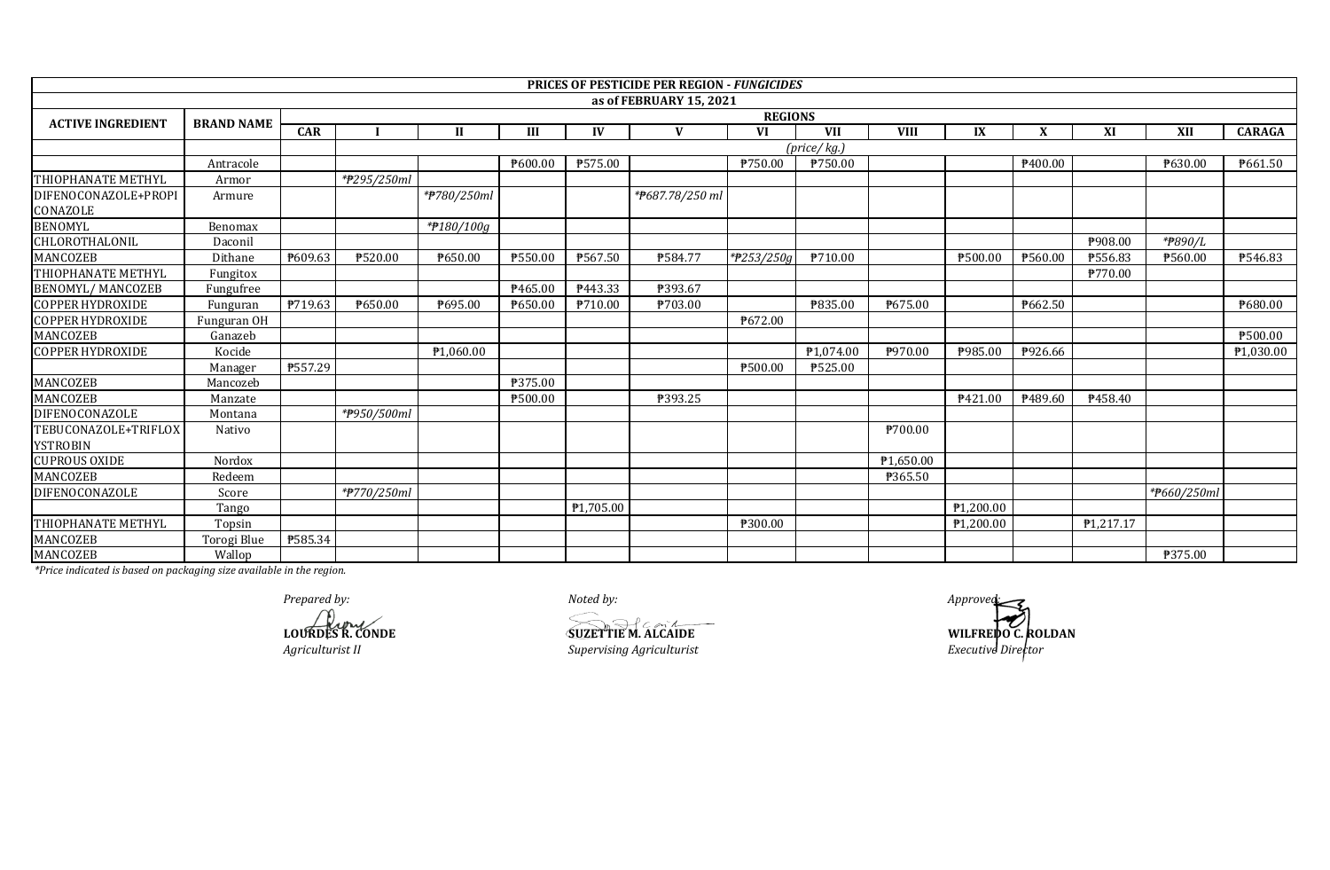|                                  |                   |            |             |                       |         |                       | <b>PRICES OF PESTICIDE PER REGION - FUNGICIDES</b> |                |                       |                |                     |                     |                |             |                       |
|----------------------------------|-------------------|------------|-------------|-----------------------|---------|-----------------------|----------------------------------------------------|----------------|-----------------------|----------------|---------------------|---------------------|----------------|-------------|-----------------------|
|                                  |                   |            |             |                       |         |                       | as of FEBRUARY 15, 2021                            |                |                       |                |                     |                     |                |             |                       |
| <b>ACTIVE INGREDIENT</b>         | <b>BRAND NAME</b> |            |             |                       |         |                       |                                                    | <b>REGIONS</b> |                       |                |                     |                     |                |             |                       |
|                                  |                   | <b>CAR</b> |             | $\mathbf{H}$          | III     | IV                    | $\mathbf{V}$                                       | <b>VI</b>      | <b>VII</b>            | <b>VIII</b>    | IX                  | X                   | XI             | <b>XII</b>  | <b>CARAGA</b>         |
|                                  |                   |            | (price/kg.) |                       |         |                       |                                                    |                |                       |                |                     |                     |                |             |                       |
|                                  | Antracole         |            |             |                       | ₱600.00 | ₱575.00               |                                                    | P750.00        | ₱750.00               |                |                     | P <sub>400.00</sub> |                | P630.00     | P661.50               |
| THIOPHANATE METHYL               | Armor             |            | *#295/250ml |                       |         |                       |                                                    |                |                       |                |                     |                     |                |             |                       |
| DIFENOCONAZOLE+PROPI<br>CONAZOLE | Armure            |            |             | *#780/250ml           |         |                       | *P687.78/250 mi                                    |                |                       |                |                     |                     |                |             |                       |
| <b>BENOMYL</b>                   | Benomax           |            |             | *#180/100g            |         |                       |                                                    |                |                       |                |                     |                     |                |             |                       |
| CHLOROTHALONIL                   | Daconil           |            |             |                       |         |                       |                                                    |                |                       |                |                     |                     | <b>\908.00</b> | *P890/L     |                       |
| MANCOZEB                         | Dithane           | P609.63    | ₱520.00     | P650.00               | ₱550.00 | ₱567.50               | <b>P584.77</b>                                     | *#253/250g     | P710.00               |                | ₱500.00             | ₱560.00             | <b>P556.83</b> | ₱560.00     | P546.83               |
| THIOPHANATE METHYL               | Fungitox          |            |             |                       |         |                       |                                                    |                |                       |                |                     |                     | ₱770.00        |             |                       |
| <b>BENOMYL/ MANCOZEB</b>         | Fungufree         |            |             |                       | P465.00 | P443.33               | ₱393.67                                            |                |                       |                |                     |                     |                |             |                       |
| <b>COPPER HYDROXIDE</b>          | Funguran          | P719.63    | ₱650.00     | P695.00               | ₱650.00 | ₱710.00               | P703.00                                            |                | ₱835.00               | ₱675.00        |                     | P662.50             |                |             | ₱680.00               |
| <b>COPPER HYDROXIDE</b>          | Funguran OH       |            |             |                       |         |                       |                                                    | ₱672.00        |                       |                |                     |                     |                |             |                       |
| MANCOZEB                         | Ganazeb           |            |             |                       |         |                       |                                                    |                |                       |                |                     |                     |                |             | ₱500.00               |
| <b>COPPER HYDROXIDE</b>          | Kocide            |            |             | P <sub>1,060.00</sub> |         |                       |                                                    |                | P <sub>1,074.00</sub> | P970.00        | P985.00             | P926.66             |                |             | P <sub>1,030.00</sub> |
|                                  | Manager           | ₱557.29    |             |                       |         |                       |                                                    | ₱500.00        | ₱525.00               |                |                     |                     |                |             |                       |
| MANCOZEB                         | Mancozeb          |            |             |                       | ₱375.00 |                       |                                                    |                |                       |                |                     |                     |                |             |                       |
| <b>MANCOZEB</b>                  | Manzate           |            |             |                       | ₱500.00 |                       | ₱393.25                                            |                |                       |                | P <sub>421.00</sub> | P489.60             | ₹458.40        |             |                       |
| DIFENOCONAZOLE                   | Montana           |            | *#950/500ml |                       |         |                       |                                                    |                |                       |                |                     |                     |                |             |                       |
| TEBUCONAZOLE+TRIFLOX             | Nativo            |            |             |                       |         |                       |                                                    |                |                       | ₱700.00        |                     |                     |                |             |                       |
| <b>YSTROBIN</b>                  |                   |            |             |                       |         |                       |                                                    |                |                       |                |                     |                     |                |             |                       |
| <b>CUPROUS OXIDE</b>             | Nordox            |            |             |                       |         |                       |                                                    |                |                       | ₱1,650.00      |                     |                     |                |             |                       |
| MANCOZEB                         | Redeem            |            |             |                       |         |                       |                                                    |                |                       | <b>P365.50</b> |                     |                     |                |             |                       |
| DIFENOCONAZOLE                   | Score             |            | *#770/250ml |                       |         |                       |                                                    |                |                       |                |                     |                     |                | *#660/250ml |                       |
|                                  | Tango             |            |             |                       |         | P <sub>1,705.00</sub> |                                                    |                |                       |                | ₱1,200.00           |                     |                |             |                       |
| THIOPHANATE METHYL               | Topsin            |            |             |                       |         |                       |                                                    | ₱300.00        |                       |                | P1,200.00           |                     | P1,217.17      |             |                       |
| <b>MANCOZEB</b>                  | Torogi Blue       | ₱585.34    |             |                       |         |                       |                                                    |                |                       |                |                     |                     |                |             |                       |
| MANCOZEB                         | Wallop            |            |             |                       |         |                       |                                                    |                |                       |                |                     |                     |                | ₱375.00     |                       |

*Prepared by:*<br> *Approved:*<br> **Approved:**<br> **ADURDES R. CONDE**<br> **ADURDES R. CONDE**<br> **ADURDES R. CONDE** 

*Agriculturist II Bure 2008 Supervising Agriculturist* **LOURDES R. CONDE SUZETTIE M. ALCAIDE**

**WILFREDO C. ROLDAN**<br>*Executive Director*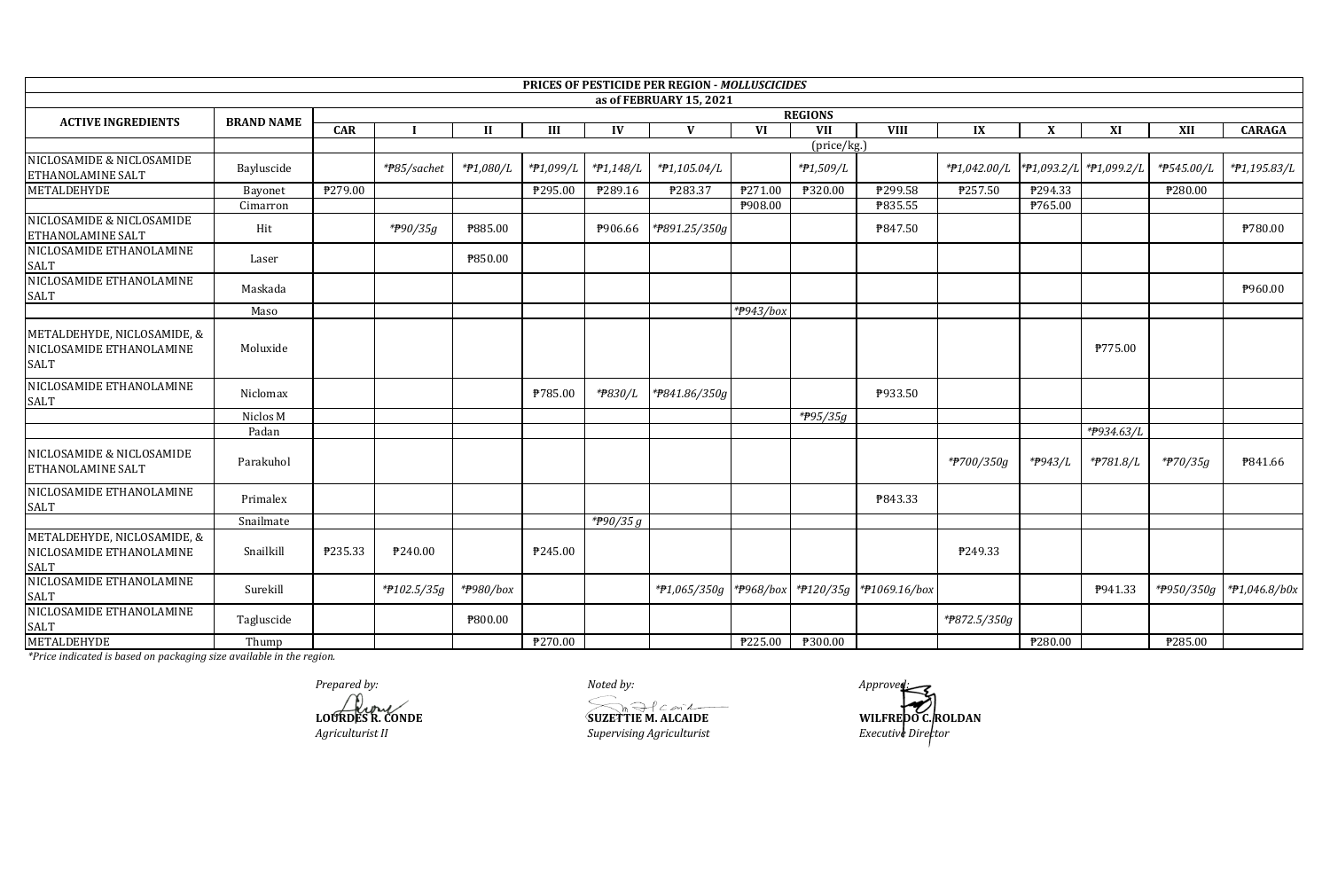|                                                                 |                   |            |                |              |           |                | PRICES OF PESTICIDE PER REGION - MOLLUSCICIDES |           |                      |               |              |         |                         |            |                |  |
|-----------------------------------------------------------------|-------------------|------------|----------------|--------------|-----------|----------------|------------------------------------------------|-----------|----------------------|---------------|--------------|---------|-------------------------|------------|----------------|--|
|                                                                 |                   |            |                |              |           |                | as of FEBRUARY 15, 2021                        |           |                      |               |              |         |                         |            |                |  |
| <b>ACTIVE INGREDIENTS</b>                                       | <b>BRAND NAME</b> |            | <b>REGIONS</b> |              |           |                |                                                |           |                      |               |              |         |                         |            |                |  |
|                                                                 |                   | <b>CAR</b> |                | $\mathbf{I}$ | Ш         | IV             | V                                              | <b>VI</b> | <b>VII</b>           | <b>VIII</b>   | IX           | X       | XI                      | XII        | <b>CARAGA</b>  |  |
|                                                                 |                   |            |                |              |           |                |                                                |           | (price/kg.)          |               |              |         |                         |            |                |  |
| NICLOSAMIDE & NICLOSAMIDE<br>ETHANOLAMINE SALT                  | Bayluscide        |            | *#85/sachet    | *#1,080/L    | *P1,099/L | *#1,148/L      | *P1,105.04/L                                   |           | *P1,509/L            |               | *#1,042.00/L |         | *P1,093.2/L *P1,099.2/L | *#545.00/L | *#1,195.83/L   |  |
| METALDEHYDE                                                     | Bayonet           | ₱279.00    |                |              | ₱295.00   | P289.16        | P283.37                                        | P271.00   | ₱320.00              | P299.58       | P257.50      | ₱294.33 |                         | P280.00    |                |  |
|                                                                 | Cimarron          |            |                |              |           |                |                                                | ₱908.00   |                      | ₱835.55       |              | ₱765.00 |                         |            |                |  |
| NICLOSAMIDE & NICLOSAMIDE<br>ETHANOLAMINE SALT                  | Hit               |            | *P90/35g       | ₱885.00      |           | <b>₱906.66</b> | *P891.25/350g                                  |           |                      | ₱847.50       |              |         |                         |            | ₱780.00        |  |
| NICLOSAMIDE ETHANOLAMINE<br>SALT                                | Laser             |            |                | ₱850.00      |           |                |                                                |           |                      |               |              |         |                         |            |                |  |
| NICLOSAMIDE ETHANOLAMINE<br><b>SALT</b>                         | Maskada           |            |                |              |           |                |                                                |           |                      |               |              |         |                         |            | <b>₱960.00</b> |  |
|                                                                 | Maso              |            |                |              |           |                |                                                | *P943/box |                      |               |              |         |                         |            |                |  |
| METALDEHYDE, NICLOSAMIDE, &<br>NICLOSAMIDE ETHANOLAMINE<br>SALT | Moluxide          |            |                |              |           |                |                                                |           |                      |               |              |         | ₱775.00                 |            |                |  |
| NICLOSAMIDE ETHANOLAMINE<br><b>SALT</b>                         | Niclomax          |            |                |              | ₱785.00   | *#830/L        | *P841.86/350g                                  |           |                      | P933.50       |              |         |                         |            |                |  |
|                                                                 | Niclos M          |            |                |              |           |                |                                                |           | *#95/35g             |               |              |         |                         |            |                |  |
|                                                                 | Padan             |            |                |              |           |                |                                                |           |                      |               |              |         | *P934.63/L              |            |                |  |
| NICLOSAMIDE & NICLOSAMIDE<br>ETHANOLAMINE SALT                  | Parakuhol         |            |                |              |           |                |                                                |           |                      |               | *#700/350g   | *#943/L | *#781.8/L               | *#70/35g   | ₱841.66        |  |
| NICLOSAMIDE ETHANOLAMINE<br><b>SALT</b>                         | Primalex          |            |                |              |           |                |                                                |           |                      | P843.33       |              |         |                         |            |                |  |
|                                                                 | Snailmate         |            |                |              |           | *#90/35 $g$    |                                                |           |                      |               |              |         |                         |            |                |  |
| METALDEHYDE, NICLOSAMIDE, &<br>NICLOSAMIDE ETHANOLAMINE<br>SALT | Snailkill         | P235.33    | ₱240.00        |              | ₱245.00   |                |                                                |           |                      |               | P249.33      |         |                         |            |                |  |
| NICLOSAMIDE ETHANOLAMINE<br>SALT                                | Surekill          |            | *P102.5/35g    | *#980/box    |           |                | *#1,065/350g                                   | *#968/box | $*$ <b>P</b> 120/35g | *#1069.16/box |              |         | P941.33                 | *P950/350g | *#1,046.8/b0x  |  |
| NICLOSAMIDE ETHANOLAMINE<br>SALT                                | Tagluscide        |            |                | ₱800.00      |           |                |                                                |           |                      |               | *P872.5/350g |         |                         |            |                |  |
| <b>METALDEHYDE</b>                                              | Thump             |            |                |              | ₱270.00   |                |                                                | ₹225.00   | ₱300.00              |               |              | ₱280.00 |                         | P285.00    |                |  |

Prepared by:<br> **Auture**<br> **LOURDES R. CONDE** Agriculturist II

Noted by:

 $\bigotimes_{\text{SUEETTE M. ALCAIDE}}$ Supervising Agriculturist

Approved WILFREDO C. ROLDAN<br>Executive Director